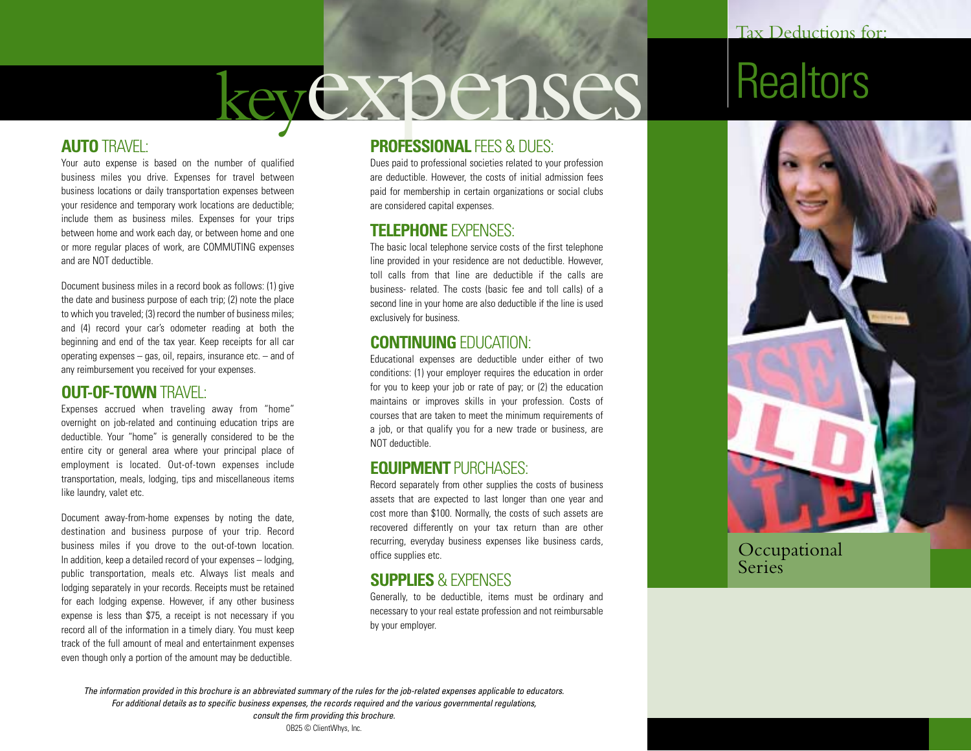# keyexpenses

### **AUTO** TRAVEL:

Your auto expense is based on the number of qualified business miles you drive. Expenses for travel between business locations or daily transportation expenses between your residence and temporary work locations are deductible; include them as business miles. Expenses for your trips between home and work each day, or between home and one or more regular places of work, are COMMUTING expenses and are NOT deductible.

Document business miles in a record book as follows: (1) give the date and business purpose of each trip; (2) note the place to which you traveled; (3) record the number of business miles; and (4) record your car's odometer reading at both the beginning and end of the tax year. Keep receipts for all car operating expenses – gas, oil, repairs, insurance etc. – and of any reimbursement you received for your expenses.

### **OUT-OF-TOWN** TRAVEL:

Expenses accrued when traveling away from "home" overnight on job-related and continuing education trips are deductible. Your "home" is generally considered to be the entire city or general area where your principal place of employment is located. Out-of-town expenses include transportation, meals, lodging, tips and miscellaneous items like laundry, valet etc.

Document away-from-home expenses by noting the date, destination and business purpose of your trip. Record business miles if you drove to the out-of-town location. In addition, keep a detailed record of your expenses – lodging, public transportation, meals etc. Always list meals and lodging separately in your records. Receipts must be retained for each lodging expense. However, if any other business expense is less than \$75, a receipt is not necessary if you record all of the information in a timely diary. You must keep track of the full amount of meal and entertainment expenses even though only a portion of the amount may be deductible.

### **PROFESSIONAL FFES & DUES:**

Dues paid to professional societies related to your profession are deductible. However, the costs of initial admission fees paid for membership in certain organizations or social clubs are considered capital expenses.

### **TELEPHONE** EXPENSES:

The basic local telephone service costs of the first telephone line provided in your residence are not deductible. However, toll calls from that line are deductible if the calls are business- related. The costs (basic fee and toll calls) of a second line in your home are also deductible if the line is used exclusively for business.

#### **CONTINUING** EDUCATION:

Educational expenses are deductible under either of two conditions: (1) your employer requires the education in order for you to keep your job or rate of pay; or (2) the education maintains or improves skills in your profession. Costs of courses that are taken to meet the minimum requirements of a job, or that qualify you for a new trade or business, are NOT deductible.

#### **EQUIPMENT** PURCHASES:

Record separately from other supplies the costs of business assets that are expected to last longer than one year and cost more than \$100. Normally, the costs of such assets are recovered differently on your tax return than are other recurring, everyday business expenses like business cards, office supplies etc.

### **SUPPLIES** & EXPENSES

Generally, to be deductible, items must be ordinary and necessary to your real estate profession and not reimbursable by your employer.

# **Realtors**



Occupational **Series** 

*The information provided in this brochure is an abbreviated summary of the rules for the job-related expenses applicable to educators. For additional details as to specific business expenses, the records required and the various governmental regulations, consult the firm providing this brochure.* OB25 © ClientWhys, Inc.